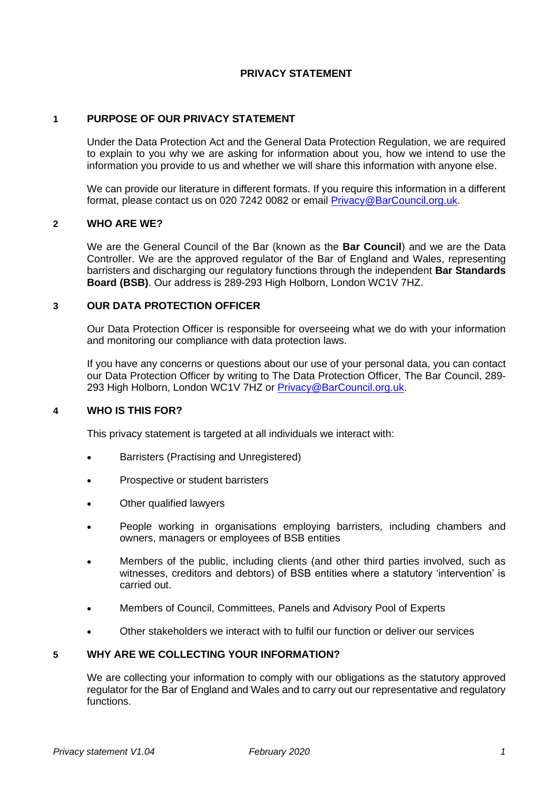# **PRIVACY STATEMENT**

# **1 PURPOSE OF OUR PRIVACY STATEMENT**

Under the Data Protection Act and the General Data Protection Regulation, we are required to explain to you why we are asking for information about you, how we intend to use the information you provide to us and whether we will share this information with anyone else.

We can provide our literature in different formats. If you require this information in a different format, please contact us on 020 7242 0082 or email [Privacy@BarCouncil.org.uk.](mailto:Privacy@BarCouncil.org.uk)

### **2 WHO ARE WE?**

We are the General Council of the Bar (known as the **Bar Council**) and we are the Data Controller. We are the approved regulator of the Bar of England and Wales, representing barristers and discharging our regulatory functions through the independent **Bar Standards Board (BSB)**. Our address is 289-293 High Holborn, London WC1V 7HZ.

#### **3 OUR DATA PROTECTION OFFICER**

Our Data Protection Officer is responsible for overseeing what we do with your information and monitoring our compliance with data protection laws.

If you have any concerns or questions about our use of your personal data, you can contact our Data Protection Officer by writing to The Data Protection Officer, The Bar Council, 289- 293 High Holborn, London WC1V 7HZ or [Privacy@BarCouncil.org.uk.](mailto:Privacy@BarCouncil.org.uk)

### **4 WHO IS THIS FOR?**

This privacy statement is targeted at all individuals we interact with:

- Barristers (Practising and Unregistered)
- Prospective or student barristers
- Other qualified lawyers
- People working in organisations employing barristers, including chambers and owners, managers or employees of BSB entities
- Members of the public, including clients (and other third parties involved, such as witnesses, creditors and debtors) of BSB entities where a statutory 'intervention' is carried out.
- Members of Council, Committees, Panels and Advisory Pool of Experts
- Other stakeholders we interact with to fulfil our function or deliver our services

### **5 WHY ARE WE COLLECTING YOUR INFORMATION?**

We are collecting your information to comply with our obligations as the statutory approved regulator for the Bar of England and Wales and to carry out our representative and regulatory functions.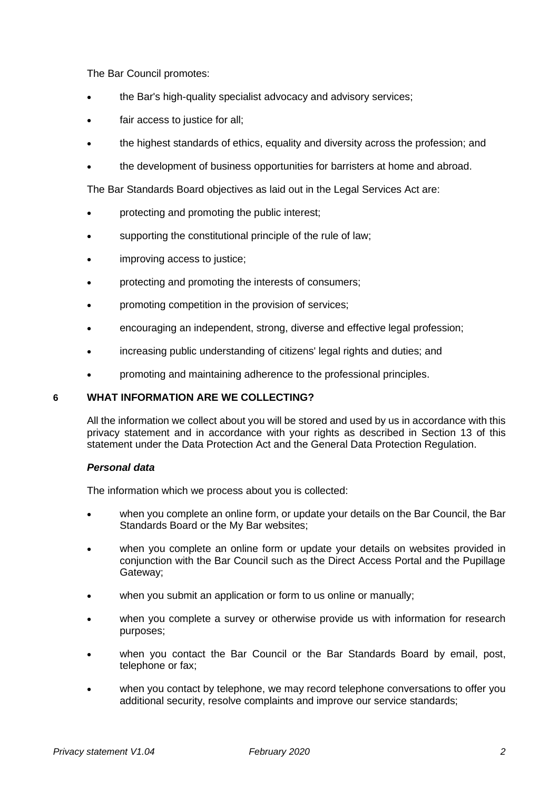The Bar Council promotes:

- the Bar's high-quality specialist advocacy and advisory services;
- fair access to justice for all;
- the highest standards of ethics, equality and diversity across the profession; and
- the development of business opportunities for barristers at home and abroad.

The Bar Standards Board objectives as laid out in the Legal Services Act are:

- protecting and promoting the public interest;
- supporting the constitutional principle of the rule of law;
- improving access to justice;
- protecting and promoting the interests of consumers;
- promoting competition in the provision of services;
- encouraging an independent, strong, diverse and effective legal profession;
- increasing public understanding of citizens' legal rights and duties; and
- promoting and maintaining adherence to the professional principles.

# **6 WHAT INFORMATION ARE WE COLLECTING?**

All the information we collect about you will be stored and used by us in accordance with this privacy statement and in accordance with your rights as described in Section 13 of this statement under the Data Protection Act and the General Data Protection Regulation.

# *Personal data*

The information which we process about you is collected:

- when you complete an online form, or update your details on the Bar Council, the Bar Standards Board or the My Bar websites;
- when you complete an online form or update your details on websites provided in conjunction with the Bar Council such as the Direct Access Portal and the Pupillage Gateway;
- when you submit an application or form to us online or manually;
- when you complete a survey or otherwise provide us with information for research purposes;
- when you contact the Bar Council or the Bar Standards Board by email, post, telephone or fax;
- when you contact by telephone, we may record telephone conversations to offer you additional security, resolve complaints and improve our service standards;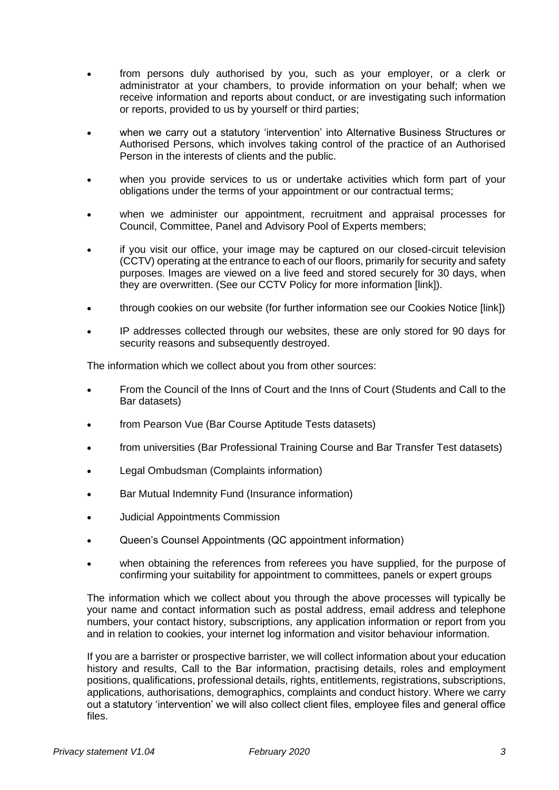- from persons duly authorised by you, such as your employer, or a clerk or administrator at your chambers, to provide information on your behalf; when we receive information and reports about conduct, or are investigating such information or reports, provided to us by yourself or third parties;
- when we carry out a statutory 'intervention' into Alternative Business Structures or Authorised Persons, which involves taking control of the practice of an Authorised Person in the interests of clients and the public.
- when you provide services to us or undertake activities which form part of your obligations under the terms of your appointment or our contractual terms;
- when we administer our appointment, recruitment and appraisal processes for Council, Committee, Panel and Advisory Pool of Experts members;
- if you visit our office, your image may be captured on our closed-circuit television (CCTV) operating at the entrance to each of our floors, primarily for security and safety purposes. Images are viewed on a live feed and stored securely for 30 days, when they are overwritten. (See our CCTV Policy for more information [link]).
- through cookies on our website (for further information see our Cookies Notice [link])
- IP addresses collected through our websites, these are only stored for 90 days for security reasons and subsequently destroyed.

The information which we collect about you from other sources:

- From the Council of the Inns of Court and the Inns of Court (Students and Call to the Bar datasets)
- from Pearson Vue (Bar Course Aptitude Tests datasets)
- from universities (Bar Professional Training Course and Bar Transfer Test datasets)
- Legal Ombudsman (Complaints information)
- Bar Mutual Indemnity Fund (Insurance information)
- Judicial Appointments Commission
- Queen's Counsel Appointments (QC appointment information)
- when obtaining the references from referees you have supplied, for the purpose of confirming your suitability for appointment to committees, panels or expert groups

The information which we collect about you through the above processes will typically be your name and contact information such as postal address, email address and telephone numbers, your contact history, subscriptions, any application information or report from you and in relation to cookies, your internet log information and visitor behaviour information.

If you are a barrister or prospective barrister, we will collect information about your education history and results, Call to the Bar information, practising details, roles and employment positions, qualifications, professional details, rights, entitlements, registrations, subscriptions, applications, authorisations, demographics, complaints and conduct history. Where we carry out a statutory 'intervention' we will also collect client files, employee files and general office files.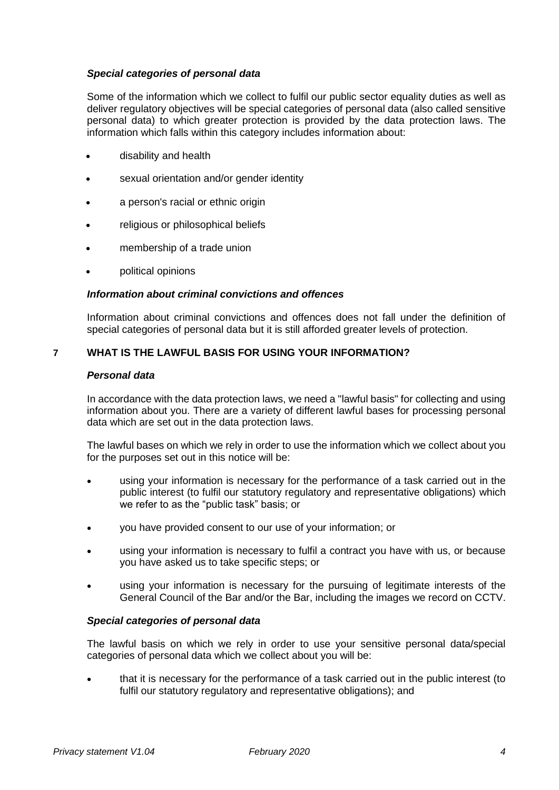### *Special categories of personal data*

Some of the information which we collect to fulfil our public sector equality duties as well as deliver regulatory objectives will be special categories of personal data (also called sensitive personal data) to which greater protection is provided by the data protection laws. The information which falls within this category includes information about:

- disability and health
- sexual orientation and/or gender identity
- a person's racial or ethnic origin
- religious or philosophical beliefs
- membership of a trade union
- political opinions

### *Information about criminal convictions and offences*

Information about criminal convictions and offences does not fall under the definition of special categories of personal data but it is still afforded greater levels of protection.

## **7 WHAT IS THE LAWFUL BASIS FOR USING YOUR INFORMATION?**

#### *Personal data*

In accordance with the data protection laws, we need a "lawful basis" for collecting and using information about you. There are a variety of different lawful bases for processing personal data which are set out in the data protection laws.

The lawful bases on which we rely in order to use the information which we collect about you for the purposes set out in this notice will be:

- using your information is necessary for the performance of a task carried out in the public interest (to fulfil our statutory regulatory and representative obligations) which we refer to as the "public task" basis; or
- you have provided consent to our use of your information; or
- using your information is necessary to fulfil a contract you have with us, or because you have asked us to take specific steps; or
- using your information is necessary for the pursuing of legitimate interests of the General Council of the Bar and/or the Bar, including the images we record on CCTV.

### *Special categories of personal data*

The lawful basis on which we rely in order to use your sensitive personal data/special categories of personal data which we collect about you will be:

• that it is necessary for the performance of a task carried out in the public interest (to fulfil our statutory regulatory and representative obligations); and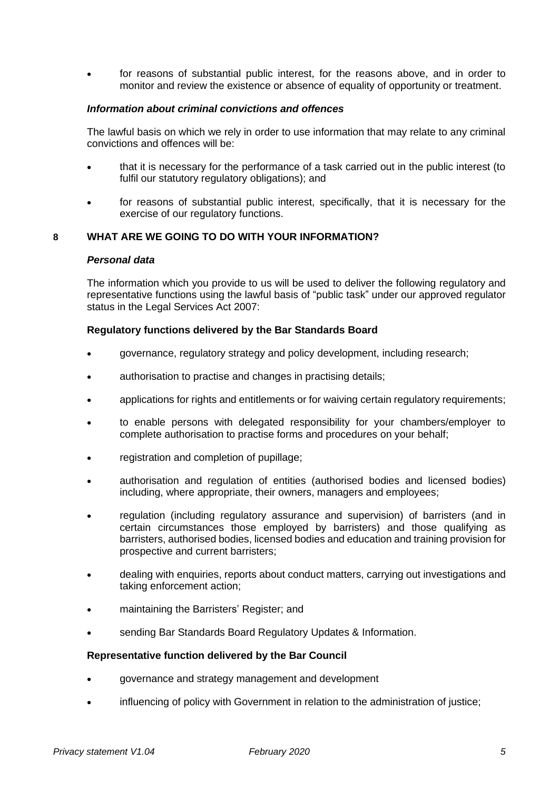• for reasons of substantial public interest, for the reasons above, and in order to monitor and review the existence or absence of equality of opportunity or treatment.

## *Information about criminal convictions and offences*

The lawful basis on which we rely in order to use information that may relate to any criminal convictions and offences will be:

- that it is necessary for the performance of a task carried out in the public interest (to fulfil our statutory regulatory obligations); and
- for reasons of substantial public interest, specifically, that it is necessary for the exercise of our regulatory functions.

## **8 WHAT ARE WE GOING TO DO WITH YOUR INFORMATION?**

#### *Personal data*

The information which you provide to us will be used to deliver the following regulatory and representative functions using the lawful basis of "public task" under our approved regulator status in the Legal Services Act 2007:

#### **Regulatory functions delivered by the Bar Standards Board**

- governance, regulatory strategy and policy development, including research;
- authorisation to practise and changes in practising details;
- applications for rights and entitlements or for waiving certain regulatory requirements;
- to enable persons with delegated responsibility for your chambers/employer to complete authorisation to practise forms and procedures on your behalf;
- registration and completion of pupillage;
- authorisation and regulation of entities (authorised bodies and licensed bodies) including, where appropriate, their owners, managers and employees;
- regulation (including regulatory assurance and supervision) of barristers (and in certain circumstances those employed by barristers) and those qualifying as barristers, authorised bodies, licensed bodies and education and training provision for prospective and current barristers;
- dealing with enquiries, reports about conduct matters, carrying out investigations and taking enforcement action;
- maintaining the Barristers' Register; and
- sending Bar Standards Board Regulatory Updates & Information.

#### **Representative function delivered by the Bar Council**

- governance and strategy management and development
- influencing of policy with Government in relation to the administration of justice;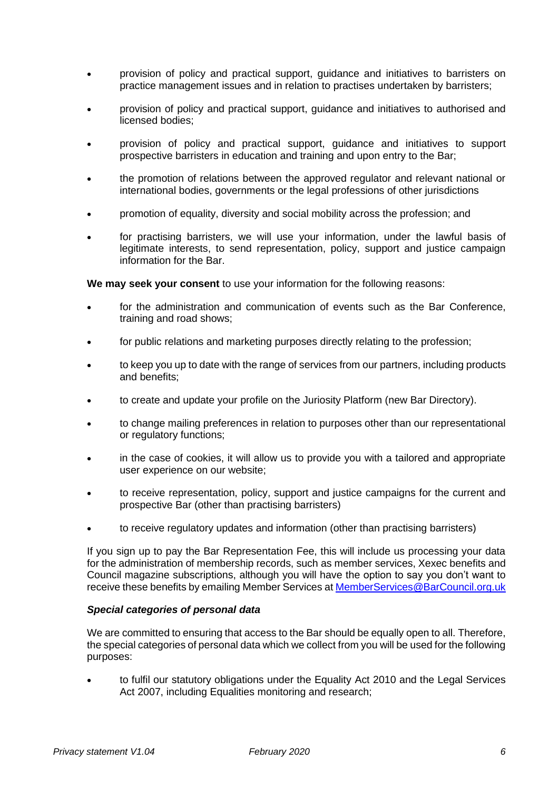- provision of policy and practical support, guidance and initiatives to barristers on practice management issues and in relation to practises undertaken by barristers;
- provision of policy and practical support, guidance and initiatives to authorised and licensed bodies;
- provision of policy and practical support, guidance and initiatives to support prospective barristers in education and training and upon entry to the Bar;
- the promotion of relations between the approved regulator and relevant national or international bodies, governments or the legal professions of other jurisdictions
- promotion of equality, diversity and social mobility across the profession; and
- for practising barristers, we will use your information, under the lawful basis of legitimate interests, to send representation, policy, support and justice campaign information for the Bar.

**We may seek your consent** to use your information for the following reasons:

- for the administration and communication of events such as the Bar Conference, training and road shows;
- for public relations and marketing purposes directly relating to the profession;
- to keep you up to date with the range of services from our partners, including products and benefits:
- to create and update your profile on the Juriosity Platform (new Bar Directory).
- to change mailing preferences in relation to purposes other than our representational or regulatory functions;
- in the case of cookies, it will allow us to provide you with a tailored and appropriate user experience on our website;
- to receive representation, policy, support and justice campaigns for the current and prospective Bar (other than practising barristers)
- to receive regulatory updates and information (other than practising barristers)

If you sign up to pay the Bar Representation Fee, this will include us processing your data for the administration of membership records, such as member services, Xexec benefits and Council magazine subscriptions, although you will have the option to say you don't want to receive these benefits by emailing Member Services a[t MemberServices@BarCouncil.org.uk](mailto:MemberServices@BarCouncil.org.uk)

#### *Special categories of personal data*

We are committed to ensuring that access to the Bar should be equally open to all. Therefore, the special categories of personal data which we collect from you will be used for the following purposes:

• to fulfil our statutory obligations under the Equality Act 2010 and the Legal Services Act 2007, including Equalities monitoring and research;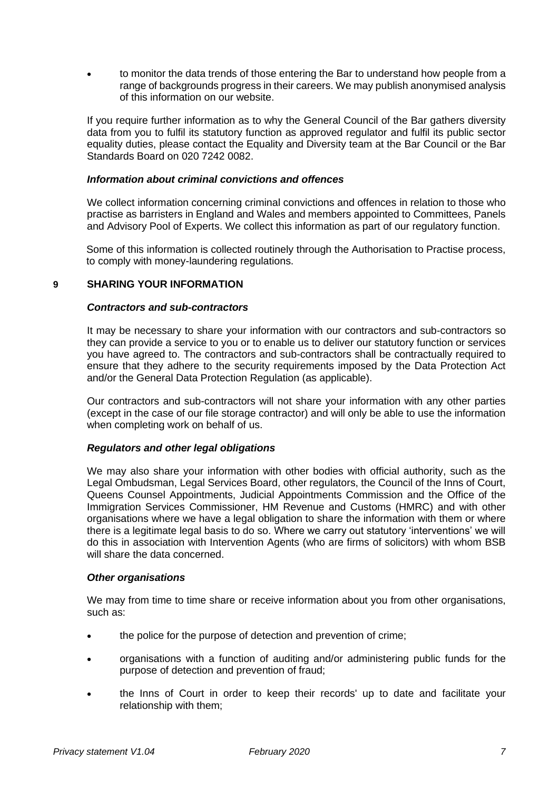• to monitor the data trends of those entering the Bar to understand how people from a range of backgrounds progress in their careers. We may publish anonymised analysis of this information on our website.

If you require further information as to why the General Council of the Bar gathers diversity data from you to fulfil its statutory function as approved regulator and fulfil its public sector equality duties, please contact the Equality and Diversity team at the Bar Council or the Bar Standards Board on 020 7242 0082.

### *Information about criminal convictions and offences*

We collect information concerning criminal convictions and offences in relation to those who practise as barristers in England and Wales and members appointed to Committees, Panels and Advisory Pool of Experts. We collect this information as part of our regulatory function.

Some of this information is collected routinely through the Authorisation to Practise process, to comply with money-laundering regulations.

# **9 SHARING YOUR INFORMATION**

#### *Contractors and sub-contractors*

It may be necessary to share your information with our contractors and sub-contractors so they can provide a service to you or to enable us to deliver our statutory function or services you have agreed to. The contractors and sub-contractors shall be contractually required to ensure that they adhere to the security requirements imposed by the Data Protection Act and/or the General Data Protection Regulation (as applicable).

Our contractors and sub-contractors will not share your information with any other parties (except in the case of our file storage contractor) and will only be able to use the information when completing work on behalf of us.

#### *Regulators and other legal obligations*

We may also share your information with other bodies with official authority, such as the Legal Ombudsman, Legal Services Board, other regulators, the Council of the Inns of Court, Queens Counsel Appointments, Judicial Appointments Commission and the Office of the Immigration Services Commissioner, HM Revenue and Customs (HMRC) and with other organisations where we have a legal obligation to share the information with them or where there is a legitimate legal basis to do so. Where we carry out statutory 'interventions' we will do this in association with Intervention Agents (who are firms of solicitors) with whom BSB will share the data concerned.

#### *Other organisations*

We may from time to time share or receive information about you from other organisations, such as:

- the police for the purpose of detection and prevention of crime:
- organisations with a function of auditing and/or administering public funds for the purpose of detection and prevention of fraud;
- the Inns of Court in order to keep their records' up to date and facilitate your relationship with them;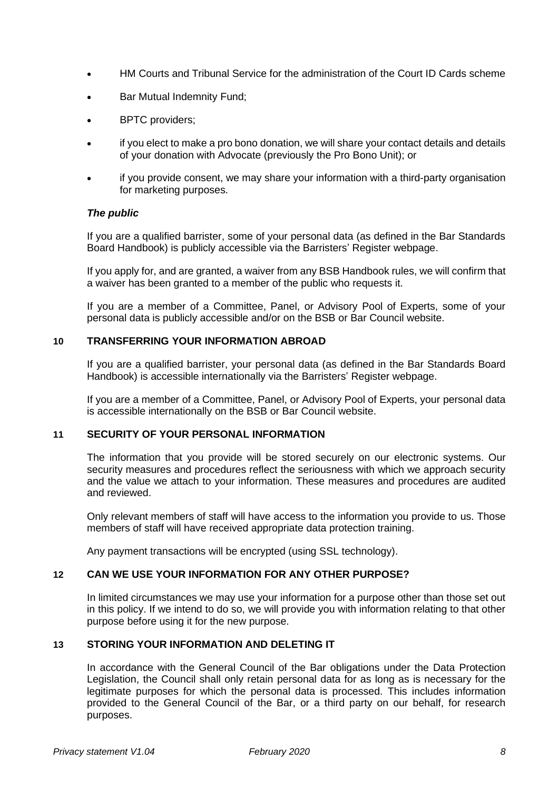- HM Courts and Tribunal Service for the administration of the Court ID Cards scheme
- Bar Mutual Indemnity Fund;
- BPTC providers;
- if you elect to make a pro bono donation, we will share your contact details and details of your donation with Advocate (previously the Pro Bono Unit); or
- if you provide consent, we may share your information with a third-party organisation for marketing purposes.

### *The public*

If you are a qualified barrister, some of your personal data (as defined in the Bar Standards Board Handbook) is publicly accessible via the Barristers' Register webpage.

If you apply for, and are granted, a waiver from any BSB Handbook rules, we will confirm that a waiver has been granted to a member of the public who requests it.

If you are a member of a Committee, Panel, or Advisory Pool of Experts, some of your personal data is publicly accessible and/or on the BSB or Bar Council website.

### **10 TRANSFERRING YOUR INFORMATION ABROAD**

If you are a qualified barrister, your personal data (as defined in the Bar Standards Board Handbook) is accessible internationally via the Barristers' Register webpage.

If you are a member of a Committee, Panel, or Advisory Pool of Experts, your personal data is accessible internationally on the BSB or Bar Council website.

#### **11 SECURITY OF YOUR PERSONAL INFORMATION**

The information that you provide will be stored securely on our electronic systems. Our security measures and procedures reflect the seriousness with which we approach security and the value we attach to your information. These measures and procedures are audited and reviewed.

Only relevant members of staff will have access to the information you provide to us. Those members of staff will have received appropriate data protection training.

Any payment transactions will be encrypted (using SSL technology).

#### **12 CAN WE USE YOUR INFORMATION FOR ANY OTHER PURPOSE?**

In limited circumstances we may use your information for a purpose other than those set out in this policy. If we intend to do so, we will provide you with information relating to that other purpose before using it for the new purpose.

# **13 STORING YOUR INFORMATION AND DELETING IT**

In accordance with the General Council of the Bar obligations under the Data Protection Legislation, the Council shall only retain personal data for as long as is necessary for the legitimate purposes for which the personal data is processed. This includes information provided to the General Council of the Bar, or a third party on our behalf, for research purposes.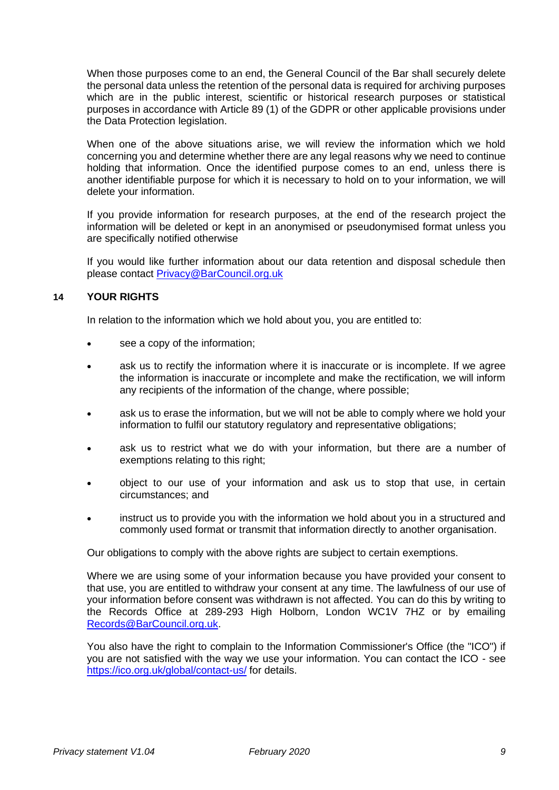When those purposes come to an end, the General Council of the Bar shall securely delete the personal data unless the retention of the personal data is required for archiving purposes which are in the public interest, scientific or historical research purposes or statistical purposes in accordance with Article 89 (1) of the GDPR or other applicable provisions under the Data Protection legislation.

When one of the above situations arise, we will review the information which we hold concerning you and determine whether there are any legal reasons why we need to continue holding that information. Once the identified purpose comes to an end, unless there is another identifiable purpose for which it is necessary to hold on to your information, we will delete your information.

If you provide information for research purposes, at the end of the research project the information will be deleted or kept in an anonymised or pseudonymised format unless you are specifically notified otherwise

If you would like further information about our data retention and disposal schedule then please contact [Privacy@BarCouncil.org.uk](mailto:Privacy@BarCouncil.org.uk)

## **14 YOUR RIGHTS**

In relation to the information which we hold about you, you are entitled to:

- see a copy of the information;
- ask us to rectify the information where it is inaccurate or is incomplete. If we agree the information is inaccurate or incomplete and make the rectification, we will inform any recipients of the information of the change, where possible;
- ask us to erase the information, but we will not be able to comply where we hold your information to fulfil our statutory regulatory and representative obligations;
- ask us to restrict what we do with your information, but there are a number of exemptions relating to this right;
- object to our use of your information and ask us to stop that use, in certain circumstances; and
- instruct us to provide you with the information we hold about you in a structured and commonly used format or transmit that information directly to another organisation.

Our obligations to comply with the above rights are subject to certain exemptions.

Where we are using some of your information because you have provided your consent to that use, you are entitled to withdraw your consent at any time. The lawfulness of our use of your information before consent was withdrawn is not affected. You can do this by writing to the Records Office at 289-293 High Holborn, London WC1V 7HZ or by emailing [Records@BarCouncil.org.uk.](mailto:Records@BarCouncil.org.uk)

You also have the right to complain to the Information Commissioner's Office (the "ICO") if you are not satisfied with the way we use your information. You can contact the ICO - see <https://ico.org.uk/global/contact-us/> for details.